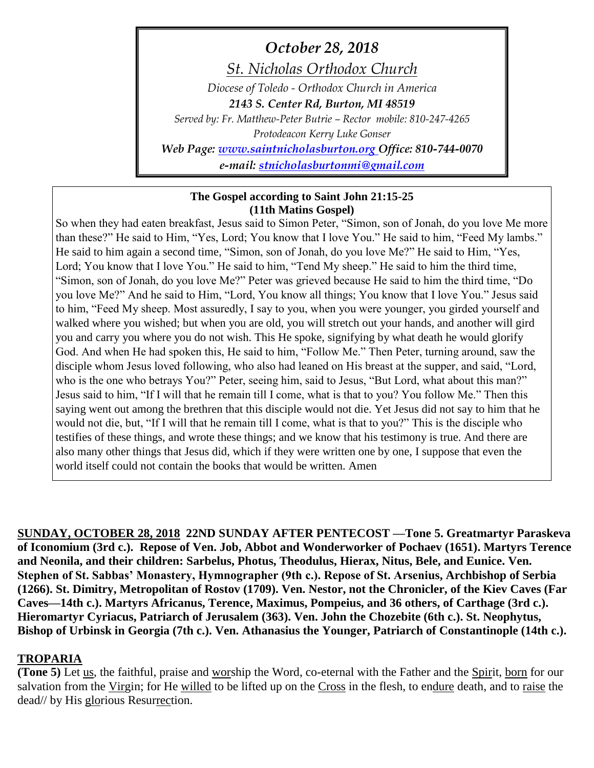# *October 28, 2018*

*St. Nicholas Orthodox Church*

*Diocese of Toledo - Orthodox Church in America*

*2143 S. Center Rd, Burton, MI 48519*

*Served by: Fr. Matthew-Peter Butrie – Rector mobile: 810-247-4265 Protodeacon Kerry Luke Gonser Web Page: [www.saintnicholasburton.org](http://www.saintnicholasburton.org/) Office: 810-744-0070 e-mail: [stnicholasburtonmi@gmail.com](mailto:stnicholasburtonmi@gmail.com)*

#### **The Gospel according to Saint John 21:15-25 (11th Matins Gospel)**

So when they had eaten breakfast, Jesus said to Simon Peter, "Simon, son of Jonah, do you love Me more than these?" He said to Him, "Yes, Lord; You know that I love You." He said to him, "Feed My lambs." He said to him again a second time, "Simon, son of Jonah, do you love Me?" He said to Him, "Yes, Lord; You know that I love You." He said to him, "Tend My sheep." He said to him the third time, "Simon, son of Jonah, do you love Me?" Peter was grieved because He said to him the third time, "Do you love Me?" And he said to Him, "Lord, You know all things; You know that I love You." Jesus said to him, "Feed My sheep. Most assuredly, I say to you, when you were younger, you girded yourself and walked where you wished; but when you are old, you will stretch out your hands, and another will gird you and carry you where you do not wish. This He spoke, signifying by what death he would glorify God. And when He had spoken this, He said to him, "Follow Me." Then Peter, turning around, saw the disciple whom Jesus loved following, who also had leaned on His breast at the supper, and said, "Lord, who is the one who betrays You?" Peter, seeing him, said to Jesus, "But Lord, what about this man?" Jesus said to him, "If I will that he remain till I come, what is that to you? You follow Me." Then this saying went out among the brethren that this disciple would not die. Yet Jesus did not say to him that he would not die, but, "If I will that he remain till I come, what is that to you?" This is the disciple who testifies of these things, and wrote these things; and we know that his testimony is true. And there are also many other things that Jesus did, which if they were written one by one, I suppose that even the world itself could not contain the books that would be written. Amen

**SUNDAY, OCTOBER 28, 2018 22ND SUNDAY AFTER PENTECOST —Tone 5. Greatmartyr Paraskeva of Iconomium (3rd c.). Repose of Ven. Job, Abbot and Wonderworker of Pochaev (1651). Martyrs Terence and Neonila, and their children: Sarbelus, Photus, Theodulus, Hierax, Nitus, Bele, and Eunice. Ven. Stephen of St. Sabbas' Monastery, Hymnographer (9th c.). Repose of St. Arsenius, Archbishop of Serbia (1266). St. Dimitry, Metropolitan of Rostov (1709). Ven. Nestor, not the Chronicler, of the Kiev Caves (Far Caves—14th c.). Martyrs Africanus, Terence, Maximus, Pompeius, and 36 others, of Carthage (3rd c.). Hieromartyr Cyriacus, Patriarch of Jerusalem (363). Ven. John the Chozebite (6th c.). St. Neophytus, Bishop of Urbinsk in Georgia (7th c.). Ven. Athanasius the Younger, Patriarch of Constantinople (14th c.).**

# **TROPARIA**

**(Tone 5)** Let us, the faithful, praise and worship the Word, co-eternal with the Father and the Spirit, born for our salvation from the Virgin; for He willed to be lifted up on the Cross in the flesh, to endure death, and to raise the dead// by His glorious Resurrection.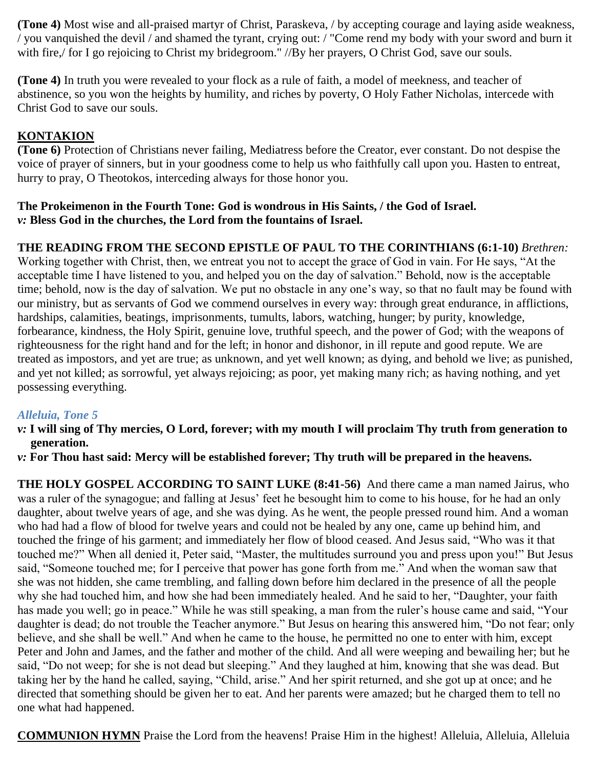**(Tone 4)** Most wise and all-praised martyr of Christ, Paraskeva, / by accepting courage and laying aside weakness, / you vanquished the devil / and shamed the tyrant, crying out: / "Come rend my body with your sword and burn it with fire, for I go rejoicing to Christ my bridegroom." //By her prayers, O Christ God, save our souls.

**(Tone 4)** In truth you were revealed to your flock as a rule of faith, a model of meekness, and teacher of abstinence, so you won the heights by humility, and riches by poverty, O Holy Father Nicholas, intercede with Christ God to save our souls.

# **KONTAKION**

**(Tone 6)** Protection of Christians never failing, Mediatress before the Creator, ever constant. Do not despise the voice of prayer of sinners, but in your goodness come to help us who faithfully call upon you. Hasten to entreat, hurry to pray, O Theotokos, interceding always for those honor you.

## **The Prokeimenon in the Fourth Tone: God is wondrous in His Saints, / the God of Israel.** *v:* **Bless God in the churches, the Lord from the fountains of Israel.**

**THE READING FROM THE SECOND EPISTLE OF PAUL TO THE CORINTHIANS (6:1-10)** *Brethren:* Working together with Christ, then, we entreat you not to accept the grace of God in vain. For He says, "At the acceptable time I have listened to you, and helped you on the day of salvation." Behold, now is the acceptable time; behold, now is the day of salvation. We put no obstacle in any one's way, so that no fault may be found with our ministry, but as servants of God we commend ourselves in every way: through great endurance, in afflictions, hardships, calamities, beatings, imprisonments, tumults, labors, watching, hunger; by purity, knowledge, forbearance, kindness, the Holy Spirit, genuine love, truthful speech, and the power of God; with the weapons of righteousness for the right hand and for the left; in honor and dishonor, in ill repute and good repute. We are treated as impostors, and yet are true; as unknown, and yet well known; as dying, and behold we live; as punished, and yet not killed; as sorrowful, yet always rejoicing; as poor, yet making many rich; as having nothing, and yet possessing everything.

# *Alleluia, Tone 5*

- *v:* **I will sing of Thy mercies, O Lord, forever; with my mouth I will proclaim Thy truth from generation to generation.**
- *v:* **For Thou hast said: Mercy will be established forever; Thy truth will be prepared in the heavens.**

**THE HOLY GOSPEL ACCORDING TO SAINT LUKE (8:41-56)** And there came a man named Jairus, who was a ruler of the synagogue; and falling at Jesus' feet he besought him to come to his house, for he had an only daughter, about twelve years of age, and she was dying. As he went, the people pressed round him. And a woman who had had a flow of blood for twelve years and could not be healed by any one, came up behind him, and touched the fringe of his garment; and immediately her flow of blood ceased. And Jesus said, "Who was it that touched me?" When all denied it, Peter said, "Master, the multitudes surround you and press upon you!" But Jesus said, "Someone touched me; for I perceive that power has gone forth from me." And when the woman saw that she was not hidden, she came trembling, and falling down before him declared in the presence of all the people why she had touched him, and how she had been immediately healed. And he said to her, "Daughter, your faith has made you well; go in peace." While he was still speaking, a man from the ruler's house came and said, "Your daughter is dead; do not trouble the Teacher anymore." But Jesus on hearing this answered him, "Do not fear; only believe, and she shall be well." And when he came to the house, he permitted no one to enter with him, except Peter and John and James, and the father and mother of the child. And all were weeping and bewailing her; but he said, "Do not weep; for she is not dead but sleeping." And they laughed at him, knowing that she was dead. But taking her by the hand he called, saying, "Child, arise." And her spirit returned, and she got up at once; and he directed that something should be given her to eat. And her parents were amazed; but he charged them to tell no one what had happened.

**COMMUNION HYMN** Praise the Lord from the heavens! Praise Him in the highest! Alleluia, Alleluia, Alleluia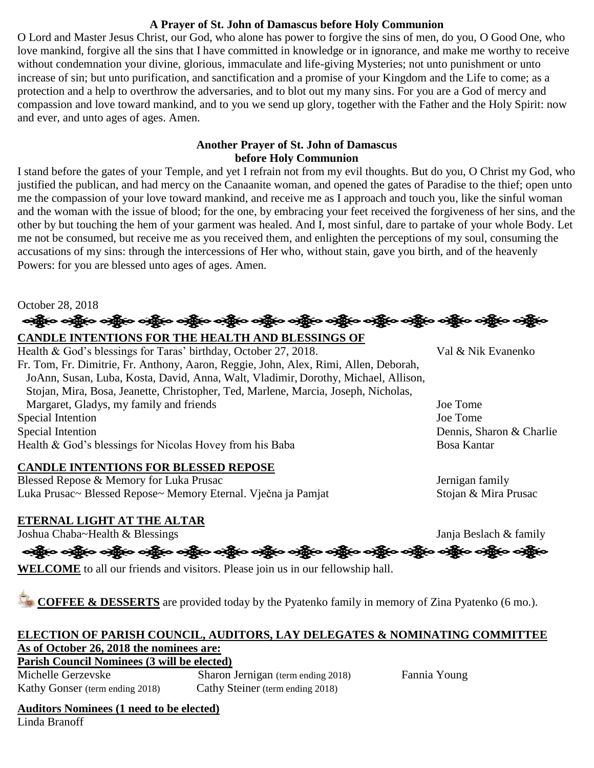### **A Prayer of St. John of Damascus before Holy Communion**

O Lord and Master Jesus Christ, our God, who alone has power to forgive the sins of men, do you, O Good One, who love mankind, forgive all the sins that I have committed in knowledge or in ignorance, and make me worthy to receive without condemnation your divine, glorious, immaculate and life-giving Mysteries; not unto punishment or unto increase of sin; but unto purification, and sanctification and a promise of your Kingdom and the Life to come; as a protection and a help to overthrow the adversaries, and to blot out my many sins. For you are a God of mercy and compassion and love toward mankind, and to you we send up glory, together with the Father and the Holy Spirit: now and ever, and unto ages of ages. Amen.

### **Another Prayer of St. John of Damascus before Holy Communion**

I stand before the gates of your Temple, and yet I refrain not from my evil thoughts. But do you, O Christ my God, who justified the publican, and had mercy on the Canaanite woman, and opened the gates of Paradise to the thief; open unto me the compassion of your love toward mankind, and receive me as I approach and touch you, like the sinful woman and the woman with the issue of blood; for the one, by embracing your feet received the forgiveness of her sins, and the other by but touching the hem of your garment was healed. And I, most sinful, dare to partake of your whole Body. Let me not be consumed, but receive me as you received them, and enlighten the perceptions of my soul, consuming the accusations of my sins: through the intercessions of Her who, without stain, gave you birth, and of the heavenly Powers: for you are blessed unto ages of ages. Amen.



# **CANDLE INTENTIONS FOR THE HEALTH AND BLESSINGS OF**

Health & God's blessings for Taras' birthday, October 27, 2018. Val & Nik Evanenko Fr. Tom, Fr. Dimitrie, Fr. Anthony, Aaron, Reggie, John, Alex, Rimi, Allen, Deborah, JoAnn, Susan, Luba, Kosta, David, Anna, Walt, Vladimir, Dorothy, Michael, Allison, Stojan, Mira, Bosa, Jeanette, Christopher, Ted, Marlene, Marcia, Joseph, Nicholas, Margaret, Gladys, my family and friends Joe Tome Special Intention Joe Tome Special Intention **Special Intention** Dennis, Sharon & Charlie Health & God's blessings for Nicolas Hovey from his Baba Bosa Kantar

### **CANDLE INTENTIONS FOR BLESSED REPOSE**

Blessed Repose & Memory for Luka Prusac Jernigan family Luka Prusac~ Blessed Repose~ Memory Eternal. Vječna ja Pamjat Stojan & Mira Prusac

# **ETERNAL LIGHT AT THE ALTAR**

Joshua Chaba~Health & Blessings Janja Beslach & family ခရွိက ခရွိက ခရွိက ခရွိက အိုလား အိုလား ခရွိက ခရွိက ခရွိက ခရွိက ခရွိက ခရွိက ခရွိက ခရွိက ခရွိက

**WELCOME** to all our friends and visitors. Please join us in our fellowship hall.

**COFFEE & DESSERTS** are provided today by the Pyatenko family in memory of Zina Pyatenko (6 mo.).

# **ELECTION OF PARISH COUNCIL, AUDITORS, LAY DELEGATES & NOMINATING COMMITTEE As of October 26, 2018 the nominees are:**

## **Parish Council Nominees (3 will be elected)**

Michelle Gerzevske Sharon Jernigan (term ending 2018) Fannia Young Kathy Gonser (term ending 2018) Cathy Steiner (term ending 2018)

**Auditors Nominees (1 need to be elected)**

Linda Branoff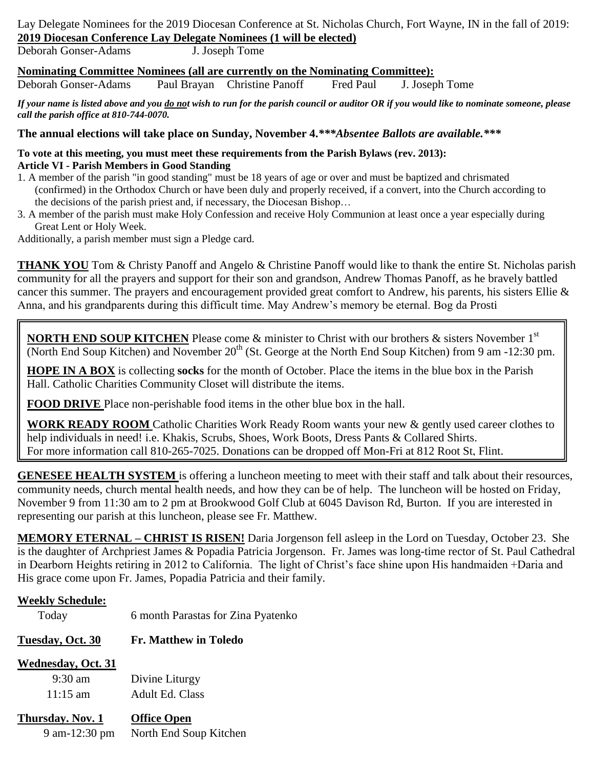Lay Delegate Nominees for the 2019 Diocesan Conference at St. Nicholas Church, Fort Wayne, IN in the fall of 2019: **2019 Diocesan Conference Lay Delegate Nominees (1 will be elected)**

Deborah Gonser-Adams J. Joseph Tome

#### **Nominating Committee Nominees (all are currently on the Nominating Committee):**

Deborah Gonser-Adams Paul Brayan Christine Panoff Fred Paul J. Joseph Tome

*If your name is listed above and you do not wish to run for the parish council or auditor OR if you would like to nominate someone, please call the parish office at 810-744-0070.*

**The annual elections will take place on Sunday, November 4.***\*\*\*Absentee Ballots are available.\*\*\**

#### **To vote at this meeting, you must meet these requirements from the Parish Bylaws (rev. 2013): Article VI - Parish Members in Good Standing**

- 1. A member of the parish "in good standing" must be 18 years of age or over and must be baptized and chrismated (confirmed) in the Orthodox Church or have been duly and properly received, if a convert, into the Church according to the decisions of the parish priest and, if necessary, the Diocesan Bishop…
- 3. A member of the parish must make Holy Confession and receive Holy Communion at least once a year especially during Great Lent or Holy Week.

Additionally, a parish member must sign a Pledge card.

**THANK YOU** Tom & Christy Panoff and Angelo & Christine Panoff would like to thank the entire St. Nicholas parish community for all the prayers and support for their son and grandson, Andrew Thomas Panoff, as he bravely battled cancer this summer. The prayers and encouragement provided great comfort to Andrew, his parents, his sisters Ellie & Anna, and his grandparents during this difficult time. May Andrew's memory be eternal. Bog da Prosti

**NORTH END SOUP KITCHEN** Please come & minister to Christ with our brothers & sisters November 1<sup>st</sup> (North End Soup Kitchen) and November  $20<sup>th</sup>$  (St. George at the North End Soup Kitchen) from 9 am -12:30 pm.

**HOPE IN A BOX** is collecting **socks** for the month of October. Place the items in the blue box in the Parish Hall. Catholic Charities Community Closet will distribute the items.

**FOOD DRIVE** Place non-perishable food items in the other blue box in the hall.

**WORK READY ROOM** Catholic Charities Work Ready Room wants your new & gently used career clothes to help individuals in need! i.e. Khakis, Scrubs, Shoes, Work Boots, Dress Pants & Collared Shirts. For more information call 810-265-7025. Donations can be dropped off Mon-Fri at 812 Root St, Flint.

**GENESEE HEALTH SYSTEM** is offering a luncheon meeting to meet with their staff and talk about their resources, community needs, church mental health needs, and how they can be of help. The luncheon will be hosted on Friday, November 9 from 11:30 am to 2 pm at Brookwood Golf Club at 6045 Davison Rd, Burton. If you are interested in representing our parish at this luncheon, please see Fr. Matthew.

**MEMORY ETERNAL – CHRIST IS RISEN!** Daria Jorgenson fell asleep in the Lord on Tuesday, October 23. She is the daughter of Archpriest James & Popadia Patricia Jorgenson. Fr. James was long-time rector of St. Paul Cathedral in Dearborn Heights retiring in 2012 to California. The light of Christ's face shine upon His handmaiden +Daria and His grace come upon Fr. James, Popadia Patricia and their family.

# **Weekly Schedule:**

Today 6 month Parastas for Zina Pyatenko

# **Tuesday, Oct. 30 Fr. Matthew in Toledo**

### **Wednesday, Oct. 31**

9:30 am Divine Liturgy 11:15 am Adult Ed. Class

# **Thursday. Nov. 1 Office Open**

9 am-12:30 pm North End Soup Kitchen